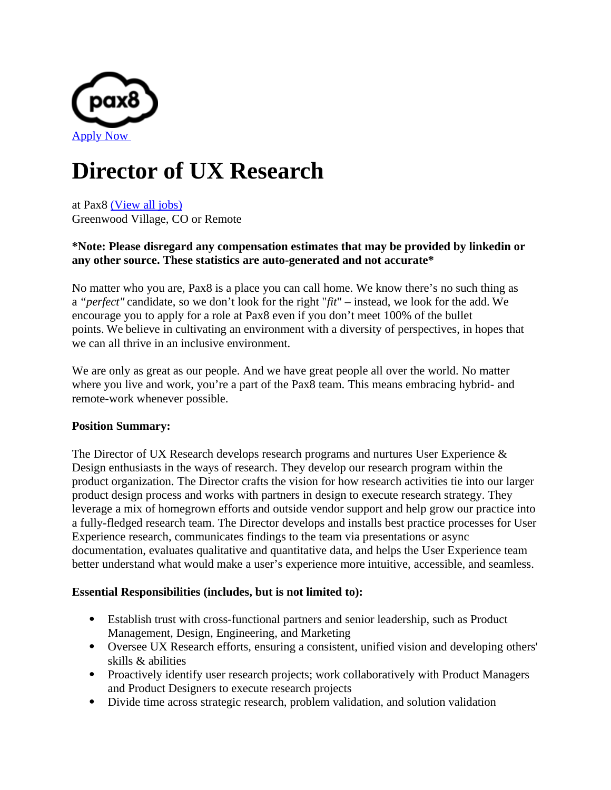

# **Director of UX Research**

at Pax8 [\(View all jobs\)](https://boards.greenhouse.io/pax8) Greenwood Village, CO or Remote

### **\*Note: Please disregard any compensation estimates that may be provided by linkedin or any other source. These statistics are auto-generated and not accurate\***

No matter who you are, Pax8 is a place you can call home. We know there's no such thing as a *"perfect"* candidate, so we don't look for the right "*fit*" – instead, we look for the add. We encourage you to apply for a role at Pax8 even if you don't meet 100% of the bullet points. We believe in cultivating an environment with a diversity of perspectives, in hopes that we can all thrive in an inclusive environment.

We are only as great as our people. And we have great people all over the world. No matter where you live and work, you're a part of the Pax8 team. This means embracing hybrid- and remote-work whenever possible.

## **Position Summary:**

The Director of UX Research develops research programs and nurtures User Experience & Design enthusiasts in the ways of research. They develop our research program within the product organization. The Director crafts the vision for how research activities tie into our larger product design process and works with partners in design to execute research strategy. They leverage a mix of homegrown efforts and outside vendor support and help grow our practice into a fully-fledged research team. The Director develops and installs best practice processes for User Experience research, communicates findings to the team via presentations or async documentation, evaluates qualitative and quantitative data, and helps the User Experience team better understand what would make a user's experience more intuitive, accessible, and seamless.

#### **Essential Responsibilities (includes, but is not limited to):**

- Establish trust with cross-functional partners and senior leadership, such as Product Management, Design, Engineering, and Marketing
- Oversee UX Research efforts, ensuring a consistent, unified vision and developing others' skills & abilities
- Proactively identify user research projects; work collaboratively with Product Managers and Product Designers to execute research projects
- Divide time across strategic research, problem validation, and solution validation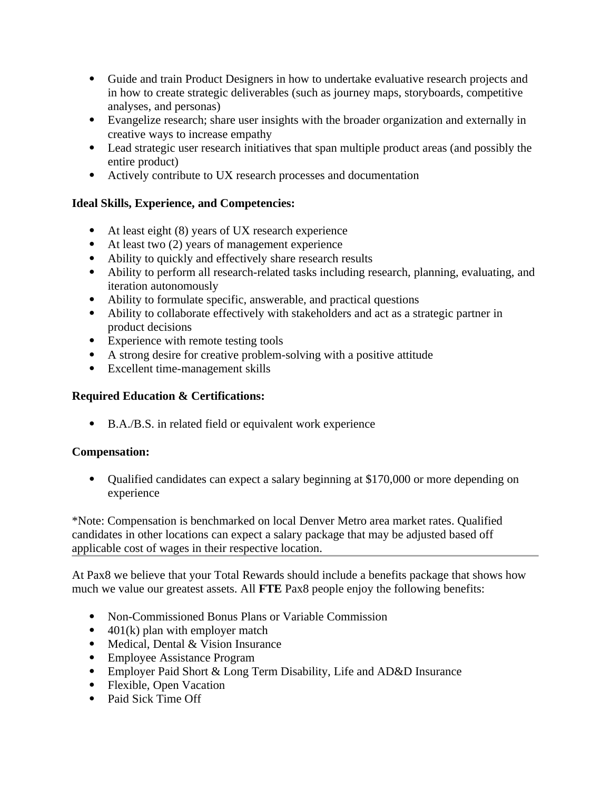- Guide and train Product Designers in how to undertake evaluative research projects and in how to create strategic deliverables (such as journey maps, storyboards, competitive analyses, and personas)
- Evangelize research; share user insights with the broader organization and externally in creative ways to increase empathy
- Lead strategic user research initiatives that span multiple product areas (and possibly the entire product)
- Actively contribute to UX research processes and documentation

# **Ideal Skills, Experience, and Competencies:**

- At least eight (8) years of UX research experience
- At least two (2) years of management experience
- Ability to quickly and effectively share research results
- Ability to perform all research-related tasks including research, planning, evaluating, and iteration autonomously
- Ability to formulate specific, answerable, and practical questions
- Ability to collaborate effectively with stakeholders and act as a strategic partner in product decisions
- Experience with remote testing tools
- A strong desire for creative problem-solving with a positive attitude
- Excellent time-management skills

# **Required Education & Certifications:**

B.A./B.S. in related field or equivalent work experience

## **Compensation:**

 Qualified candidates can expect a salary beginning at \$170,000 or more depending on experience

\*Note: Compensation is benchmarked on local Denver Metro area market rates. Qualified candidates in other locations can expect a salary package that may be adjusted based off applicable cost of wages in their respective location.

At Pax8 we believe that your Total Rewards should include a benefits package that shows how much we value our greatest assets. All **FTE** Pax8 people enjoy the following benefits:

- Non-Commissioned Bonus Plans or Variable Commission
- $\bullet$  401(k) plan with employer match
- Medical, Dental & Vision Insurance
- Employee Assistance Program
- Employer Paid Short & Long Term Disability, Life and AD&D Insurance
- Flexible, Open Vacation
- Paid Sick Time Off